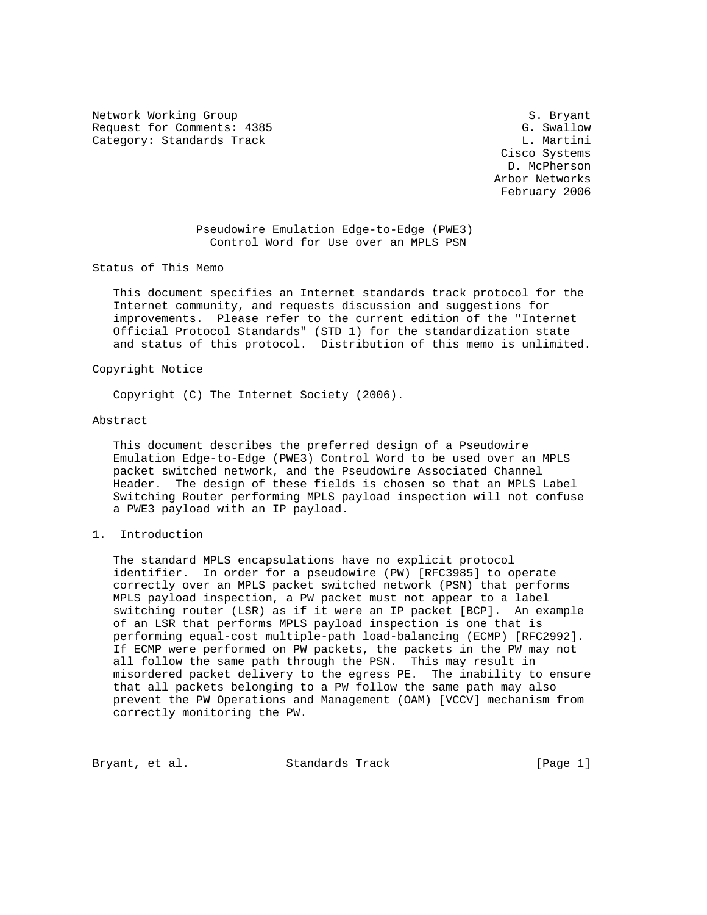Network Working Group S. Bryant Request for Comments: 4385 G. Swallow Category: Standards Track L. Martini

 Cisco Systems D. McPherson Arbor Networks February 2006

## Pseudowire Emulation Edge-to-Edge (PWE3) Control Word for Use over an MPLS PSN

Status of This Memo

 This document specifies an Internet standards track protocol for the Internet community, and requests discussion and suggestions for improvements. Please refer to the current edition of the "Internet Official Protocol Standards" (STD 1) for the standardization state and status of this protocol. Distribution of this memo is unlimited.

### Copyright Notice

Copyright (C) The Internet Society (2006).

#### Abstract

 This document describes the preferred design of a Pseudowire Emulation Edge-to-Edge (PWE3) Control Word to be used over an MPLS packet switched network, and the Pseudowire Associated Channel Header. The design of these fields is chosen so that an MPLS Label Switching Router performing MPLS payload inspection will not confuse a PWE3 payload with an IP payload.

## 1. Introduction

 The standard MPLS encapsulations have no explicit protocol identifier. In order for a pseudowire (PW) [RFC3985] to operate correctly over an MPLS packet switched network (PSN) that performs MPLS payload inspection, a PW packet must not appear to a label switching router (LSR) as if it were an IP packet [BCP]. An example of an LSR that performs MPLS payload inspection is one that is performing equal-cost multiple-path load-balancing (ECMP) [RFC2992]. If ECMP were performed on PW packets, the packets in the PW may not all follow the same path through the PSN. This may result in misordered packet delivery to the egress PE. The inability to ensure that all packets belonging to a PW follow the same path may also prevent the PW Operations and Management (OAM) [VCCV] mechanism from correctly monitoring the PW.

Bryant, et al. Standards Track [Page 1]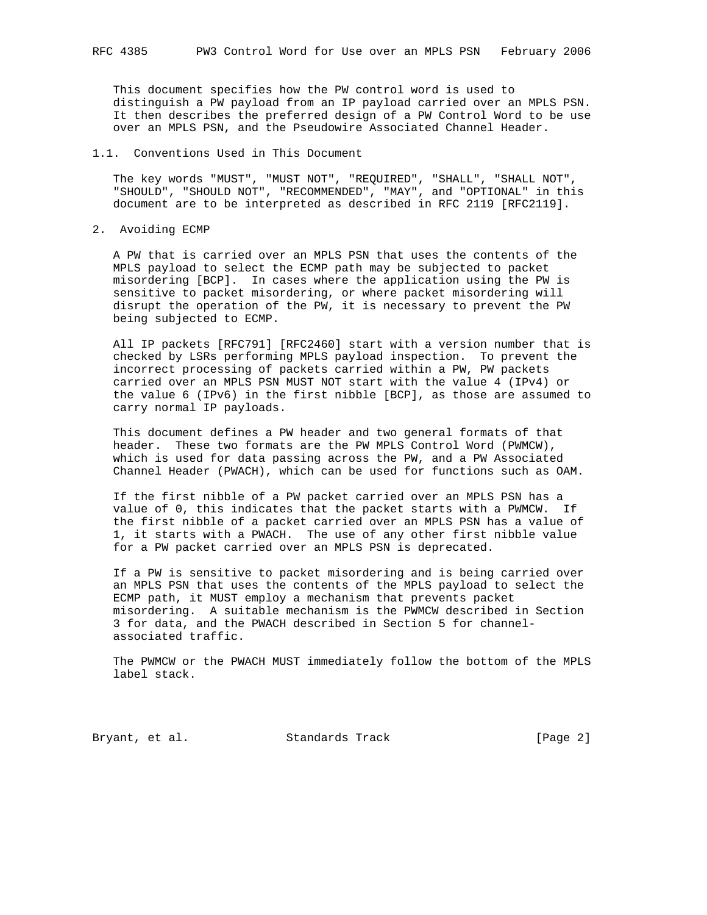This document specifies how the PW control word is used to distinguish a PW payload from an IP payload carried over an MPLS PSN. It then describes the preferred design of a PW Control Word to be use over an MPLS PSN, and the Pseudowire Associated Channel Header.

# 1.1. Conventions Used in This Document

 The key words "MUST", "MUST NOT", "REQUIRED", "SHALL", "SHALL NOT", "SHOULD", "SHOULD NOT", "RECOMMENDED", "MAY", and "OPTIONAL" in this document are to be interpreted as described in RFC 2119 [RFC2119].

### 2. Avoiding ECMP

 A PW that is carried over an MPLS PSN that uses the contents of the MPLS payload to select the ECMP path may be subjected to packet misordering [BCP]. In cases where the application using the PW is sensitive to packet misordering, or where packet misordering will disrupt the operation of the PW, it is necessary to prevent the PW being subjected to ECMP.

 All IP packets [RFC791] [RFC2460] start with a version number that is checked by LSRs performing MPLS payload inspection. To prevent the incorrect processing of packets carried within a PW, PW packets carried over an MPLS PSN MUST NOT start with the value 4 (IPv4) or the value 6 (IPv6) in the first nibble [BCP], as those are assumed to carry normal IP payloads.

 This document defines a PW header and two general formats of that header. These two formats are the PW MPLS Control Word (PWMCW), which is used for data passing across the PW, and a PW Associated Channel Header (PWACH), which can be used for functions such as OAM.

 If the first nibble of a PW packet carried over an MPLS PSN has a value of 0, this indicates that the packet starts with a PWMCW. If the first nibble of a packet carried over an MPLS PSN has a value of 1, it starts with a PWACH. The use of any other first nibble value for a PW packet carried over an MPLS PSN is deprecated.

 If a PW is sensitive to packet misordering and is being carried over an MPLS PSN that uses the contents of the MPLS payload to select the ECMP path, it MUST employ a mechanism that prevents packet misordering. A suitable mechanism is the PWMCW described in Section 3 for data, and the PWACH described in Section 5 for channel associated traffic.

 The PWMCW or the PWACH MUST immediately follow the bottom of the MPLS label stack.

Bryant, et al. Standards Track [Page 2]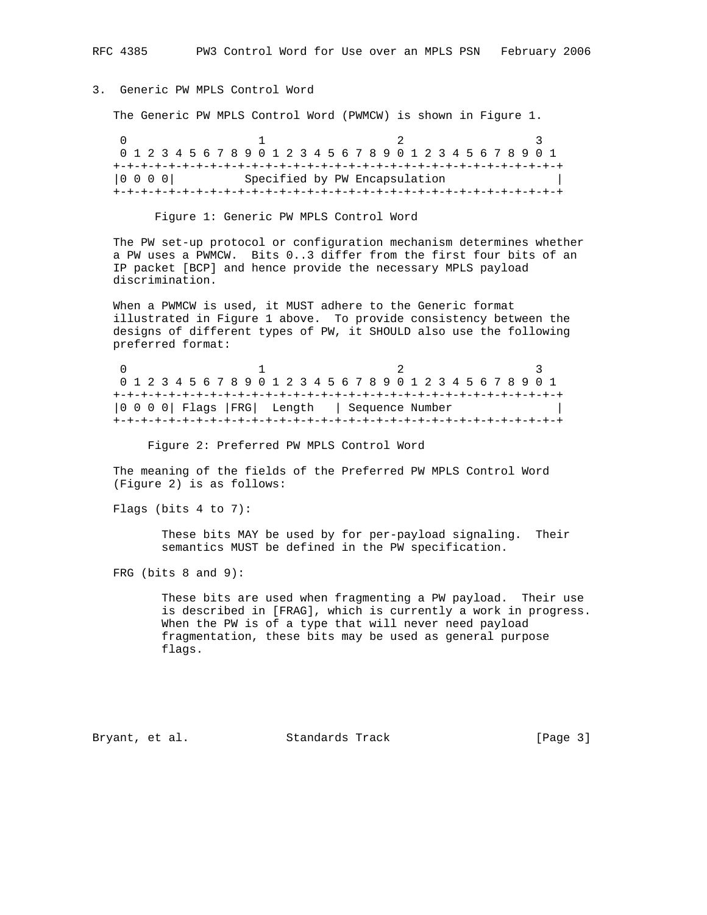# 3. Generic PW MPLS Control Word

The Generic PW MPLS Control Word (PWMCW) is shown in Figure 1.

0  $1$  2 3 0 1 2 3 4 5 6 7 8 9 0 1 2 3 4 5 6 7 8 9 0 1 2 3 4 5 6 7 8 9 0 1 +-+-+-+-+-+-+-+-+-+-+-+-+-+-+-+-+-+-+-+-+-+-+-+-+-+-+-+-+-+-+-+-+ |0 0 0 0| Specified by PW Encapsulation +-+-+-+-+-+-+-+-+-+-+-+-+-+-+-+-+-+-+-+-+-+-+-+-+-+-+-+-+-+-+-+-+

Figure 1: Generic PW MPLS Control Word

 The PW set-up protocol or configuration mechanism determines whether a PW uses a PWMCW. Bits 0..3 differ from the first four bits of an IP packet [BCP] and hence provide the necessary MPLS payload discrimination.

 When a PWMCW is used, it MUST adhere to the Generic format illustrated in Figure 1 above. To provide consistency between the designs of different types of PW, it SHOULD also use the following preferred format:

0  $1$  2 3 0 1 2 3 4 5 6 7 8 9 0 1 2 3 4 5 6 7 8 9 0 1 2 3 4 5 6 7 8 9 0 1 +-+-+-+-+-+-+-+-+-+-+-+-+-+-+-+-+-+-+-+-+-+-+-+-+-+-+-+-+-+-+-+-+ |0 0 0 0| Flags |FRG| Length | Sequence Number | +-+-+-+-+-+-+-+-+-+-+-+-+-+-+-+-+-+-+-+-+-+-+-+-+-+-+-+-+-+-+-+-+

Figure 2: Preferred PW MPLS Control Word

 The meaning of the fields of the Preferred PW MPLS Control Word (Figure 2) is as follows:

Flags (bits 4 to 7):

 These bits MAY be used by for per-payload signaling. Their semantics MUST be defined in the PW specification.

FRG (bits 8 and 9):

 These bits are used when fragmenting a PW payload. Their use is described in [FRAG], which is currently a work in progress. When the PW is of a type that will never need payload fragmentation, these bits may be used as general purpose flags.

Bryant, et al. Standards Track [Page 3]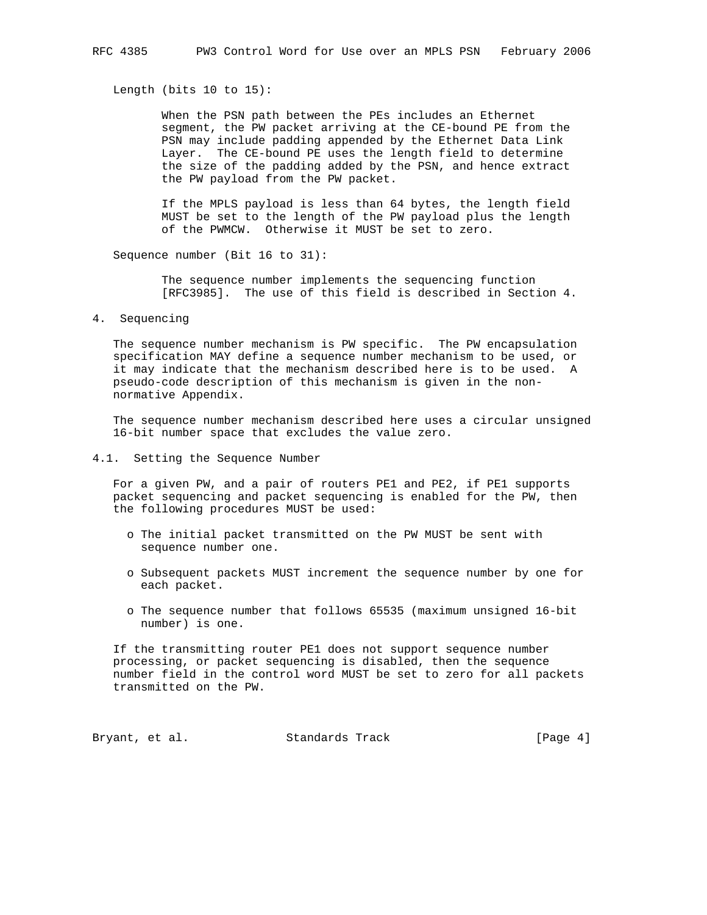Length (bits 10 to 15):

 When the PSN path between the PEs includes an Ethernet segment, the PW packet arriving at the CE-bound PE from the PSN may include padding appended by the Ethernet Data Link Layer. The CE-bound PE uses the length field to determine the size of the padding added by the PSN, and hence extract the PW payload from the PW packet.

 If the MPLS payload is less than 64 bytes, the length field MUST be set to the length of the PW payload plus the length of the PWMCW. Otherwise it MUST be set to zero.

Sequence number (Bit 16 to 31):

 The sequence number implements the sequencing function [RFC3985]. The use of this field is described in Section 4.

4. Sequencing

 The sequence number mechanism is PW specific. The PW encapsulation specification MAY define a sequence number mechanism to be used, or it may indicate that the mechanism described here is to be used. A pseudo-code description of this mechanism is given in the non normative Appendix.

 The sequence number mechanism described here uses a circular unsigned 16-bit number space that excludes the value zero.

4.1. Setting the Sequence Number

 For a given PW, and a pair of routers PE1 and PE2, if PE1 supports packet sequencing and packet sequencing is enabled for the PW, then the following procedures MUST be used:

- o The initial packet transmitted on the PW MUST be sent with sequence number one.
- o Subsequent packets MUST increment the sequence number by one for each packet.
- o The sequence number that follows 65535 (maximum unsigned 16-bit number) is one.

 If the transmitting router PE1 does not support sequence number processing, or packet sequencing is disabled, then the sequence number field in the control word MUST be set to zero for all packets transmitted on the PW.

Bryant, et al. Standards Track [Page 4]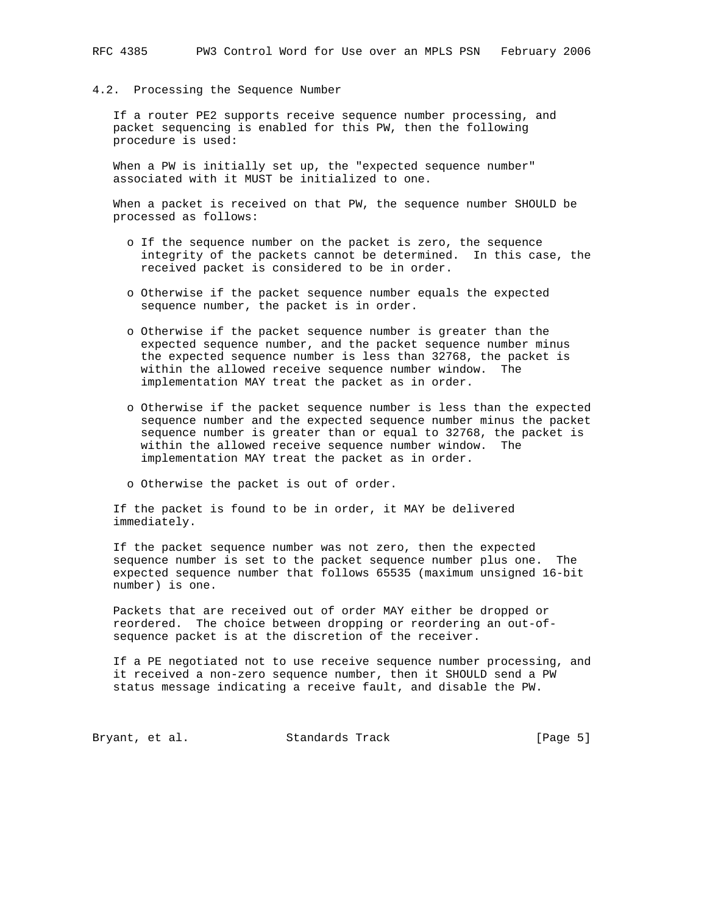#### 4.2. Processing the Sequence Number

 If a router PE2 supports receive sequence number processing, and packet sequencing is enabled for this PW, then the following procedure is used:

 When a PW is initially set up, the "expected sequence number" associated with it MUST be initialized to one.

 When a packet is received on that PW, the sequence number SHOULD be processed as follows:

- o If the sequence number on the packet is zero, the sequence integrity of the packets cannot be determined. In this case, the received packet is considered to be in order.
- o Otherwise if the packet sequence number equals the expected sequence number, the packet is in order.
- o Otherwise if the packet sequence number is greater than the expected sequence number, and the packet sequence number minus the expected sequence number is less than 32768, the packet is within the allowed receive sequence number window. The implementation MAY treat the packet as in order.
- o Otherwise if the packet sequence number is less than the expected sequence number and the expected sequence number minus the packet sequence number is greater than or equal to 32768, the packet is within the allowed receive sequence number window. The implementation MAY treat the packet as in order.
- o Otherwise the packet is out of order.

 If the packet is found to be in order, it MAY be delivered immediately.

 If the packet sequence number was not zero, then the expected sequence number is set to the packet sequence number plus one. The expected sequence number that follows 65535 (maximum unsigned 16-bit number) is one.

 Packets that are received out of order MAY either be dropped or reordered. The choice between dropping or reordering an out-of sequence packet is at the discretion of the receiver.

 If a PE negotiated not to use receive sequence number processing, and it received a non-zero sequence number, then it SHOULD send a PW status message indicating a receive fault, and disable the PW.

Bryant, et al. Standards Track [Page 5]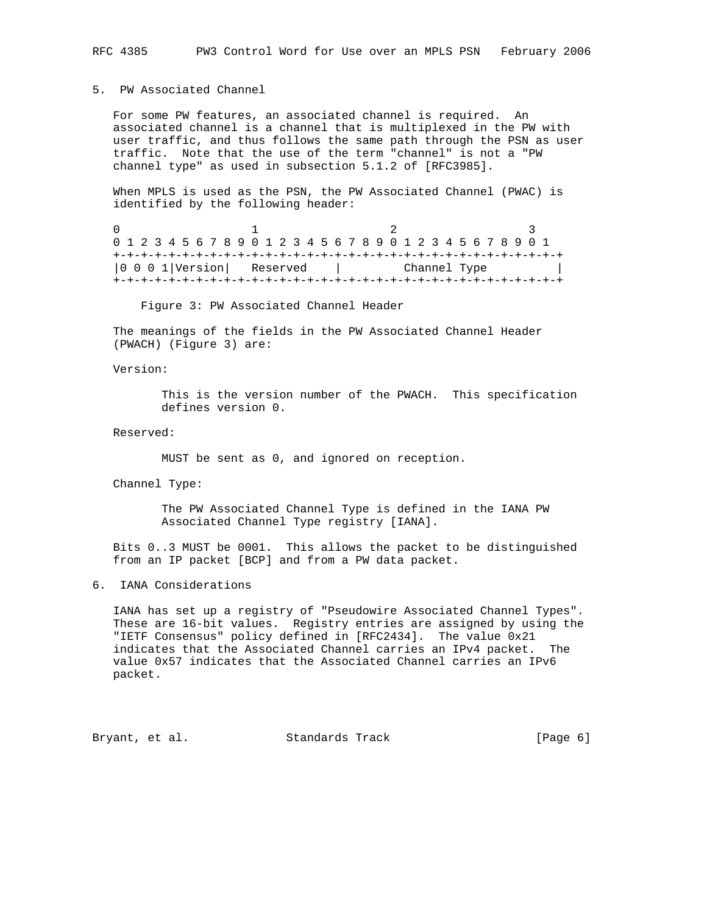## 5. PW Associated Channel

 For some PW features, an associated channel is required. An associated channel is a channel that is multiplexed in the PW with user traffic, and thus follows the same path through the PSN as user traffic. Note that the use of the term "channel" is not a "PW channel type" as used in subsection 5.1.2 of [RFC3985].

 When MPLS is used as the PSN, the PW Associated Channel (PWAC) is identified by the following header:

0  $1$   $2$   $3$  0 1 2 3 4 5 6 7 8 9 0 1 2 3 4 5 6 7 8 9 0 1 2 3 4 5 6 7 8 9 0 1 +-+-+-+-+-+-+-+-+-+-+-+-+-+-+-+-+-+-+-+-+-+-+-+-+-+-+-+-+-+-+-+-+ |0 0 0 1|Version| Reserved | Channel Type | +-+-+-+-+-+-+-+-+-+-+-+-+-+-+-+-+-+-+-+-+-+-+-+-+-+-+-+-+-+-+-+-+

Figure 3: PW Associated Channel Header

 The meanings of the fields in the PW Associated Channel Header (PWACH) (Figure 3) are:

Version:

 This is the version number of the PWACH. This specification defines version 0.

Reserved:

MUST be sent as 0, and ignored on reception.

Channel Type:

 The PW Associated Channel Type is defined in the IANA PW Associated Channel Type registry [IANA].

 Bits 0..3 MUST be 0001. This allows the packet to be distinguished from an IP packet [BCP] and from a PW data packet.

6. IANA Considerations

 IANA has set up a registry of "Pseudowire Associated Channel Types". These are 16-bit values. Registry entries are assigned by using the "IETF Consensus" policy defined in [RFC2434]. The value 0x21 indicates that the Associated Channel carries an IPv4 packet. The value 0x57 indicates that the Associated Channel carries an IPv6 packet.

Bryant, et al. Standards Track [Page 6]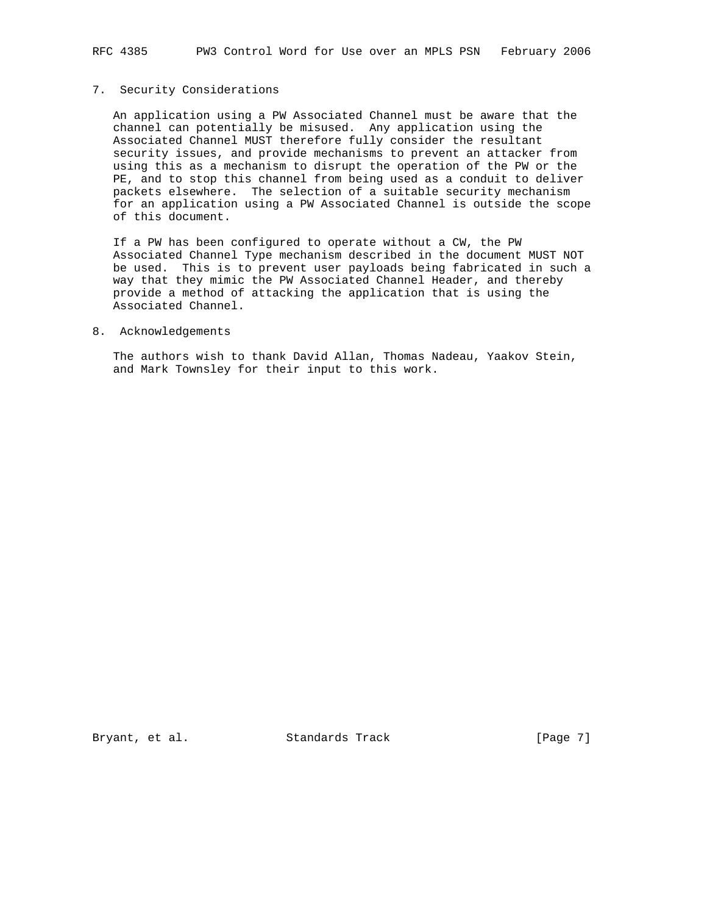RFC 4385 PW3 Control Word for Use over an MPLS PSN February 2006

# 7. Security Considerations

 An application using a PW Associated Channel must be aware that the channel can potentially be misused. Any application using the Associated Channel MUST therefore fully consider the resultant security issues, and provide mechanisms to prevent an attacker from using this as a mechanism to disrupt the operation of the PW or the PE, and to stop this channel from being used as a conduit to deliver packets elsewhere. The selection of a suitable security mechanism for an application using a PW Associated Channel is outside the scope of this document.

 If a PW has been configured to operate without a CW, the PW Associated Channel Type mechanism described in the document MUST NOT be used. This is to prevent user payloads being fabricated in such a way that they mimic the PW Associated Channel Header, and thereby provide a method of attacking the application that is using the Associated Channel.

#### 8. Acknowledgements

 The authors wish to thank David Allan, Thomas Nadeau, Yaakov Stein, and Mark Townsley for their input to this work.

Bryant, et al. Standards Track [Page 7]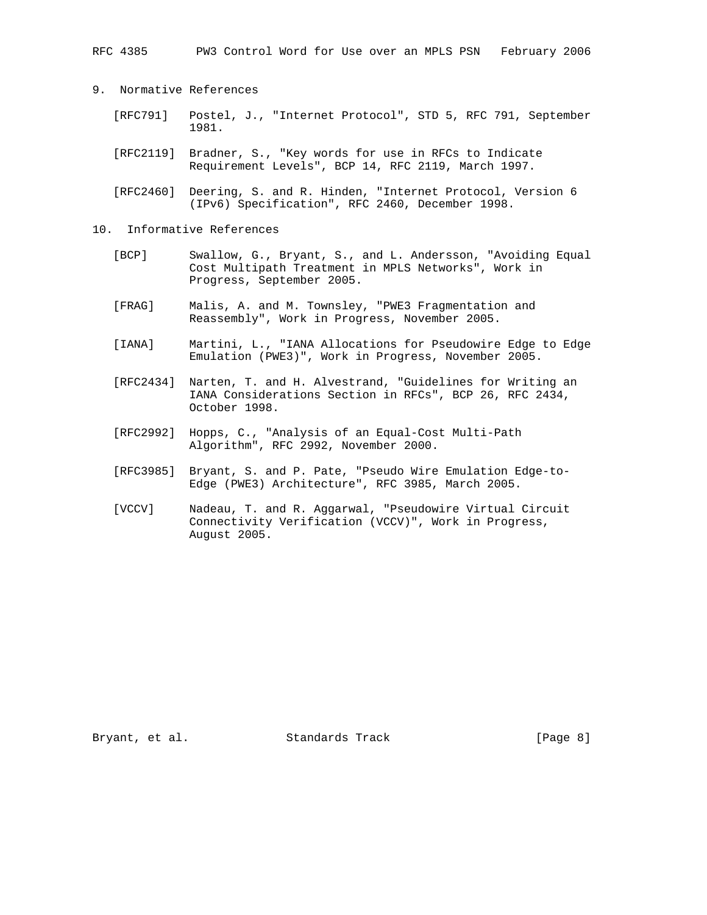RFC 4385 PW3 Control Word for Use over an MPLS PSN February 2006

- 9. Normative References
	- [RFC791] Postel, J., "Internet Protocol", STD 5, RFC 791, September 1981.
	- [RFC2119] Bradner, S., "Key words for use in RFCs to Indicate Requirement Levels", BCP 14, RFC 2119, March 1997.
	- [RFC2460] Deering, S. and R. Hinden, "Internet Protocol, Version 6 (IPv6) Specification", RFC 2460, December 1998.
- 10. Informative References
	- [BCP] Swallow, G., Bryant, S., and L. Andersson, "Avoiding Equal Cost Multipath Treatment in MPLS Networks", Work in Progress, September 2005.
	- [FRAG] Malis, A. and M. Townsley, "PWE3 Fragmentation and Reassembly", Work in Progress, November 2005.
	- [IANA] Martini, L., "IANA Allocations for Pseudowire Edge to Edge Emulation (PWE3)", Work in Progress, November 2005.
	- [RFC2434] Narten, T. and H. Alvestrand, "Guidelines for Writing an IANA Considerations Section in RFCs", BCP 26, RFC 2434, October 1998.
	- [RFC2992] Hopps, C., "Analysis of an Equal-Cost Multi-Path Algorithm", RFC 2992, November 2000.
	- [RFC3985] Bryant, S. and P. Pate, "Pseudo Wire Emulation Edge-to- Edge (PWE3) Architecture", RFC 3985, March 2005.
	- [VCCV] Nadeau, T. and R. Aggarwal, "Pseudowire Virtual Circuit Connectivity Verification (VCCV)", Work in Progress, August 2005.

Bryant, et al. Standards Track [Page 8]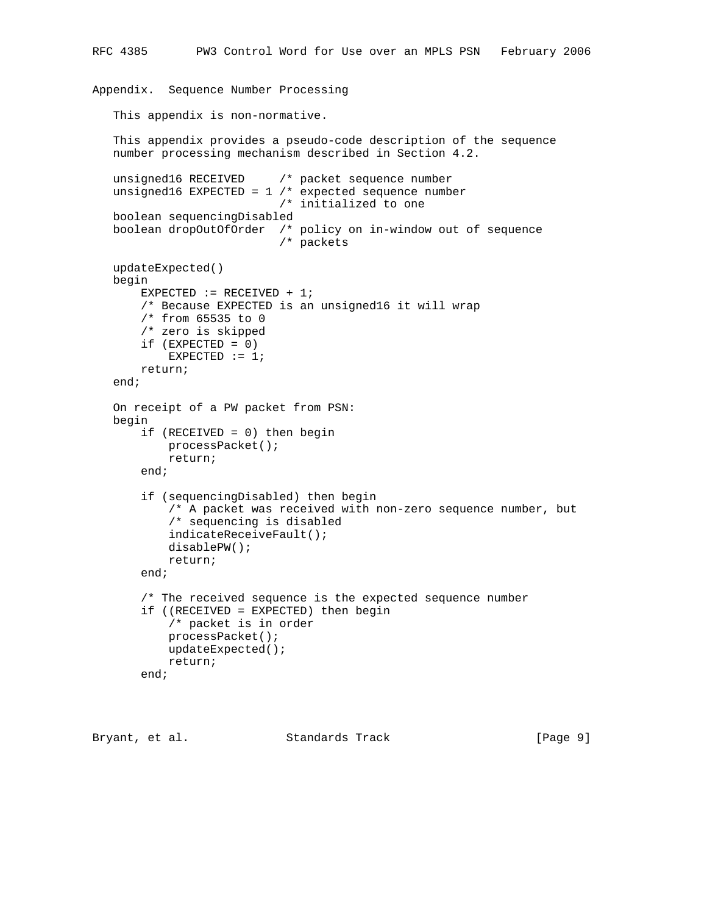```
 This appendix provides a pseudo-code description of the sequence
 number processing mechanism described in Section 4.2.
 unsigned16 RECEIVED /* packet sequence number
unsigned16 EXPECTED = 1 /* expected sequence number
                         /* initialized to one
 boolean sequencingDisabled
 boolean dropOutOfOrder /* policy on in-window out of sequence
                         /* packets
 updateExpected()
 begin
    EXPECTED := RECEIVED + 1;
     /* Because EXPECTED is an unsigned16 it will wrap
     /* from 65535 to 0
     /* zero is skipped
     if (EXPECTED = 0)
       EXPECTED := 1; return;
 end;
 On receipt of a PW packet from PSN:
 begin
     if (RECEIVED = 0) then begin
         processPacket();
         return;
     end;
     if (sequencingDisabled) then begin
         /* A packet was received with non-zero sequence number, but
         /* sequencing is disabled
         indicateReceiveFault();
         disablePW();
         return;
     end;
     /* The received sequence is the expected sequence number
     if ((RECEIVED = EXPECTED) then begin
         /* packet is in order
         processPacket();
         updateExpected();
         return;
     end;
```

```
Bryant, et al. Standards Track [Page 9]
```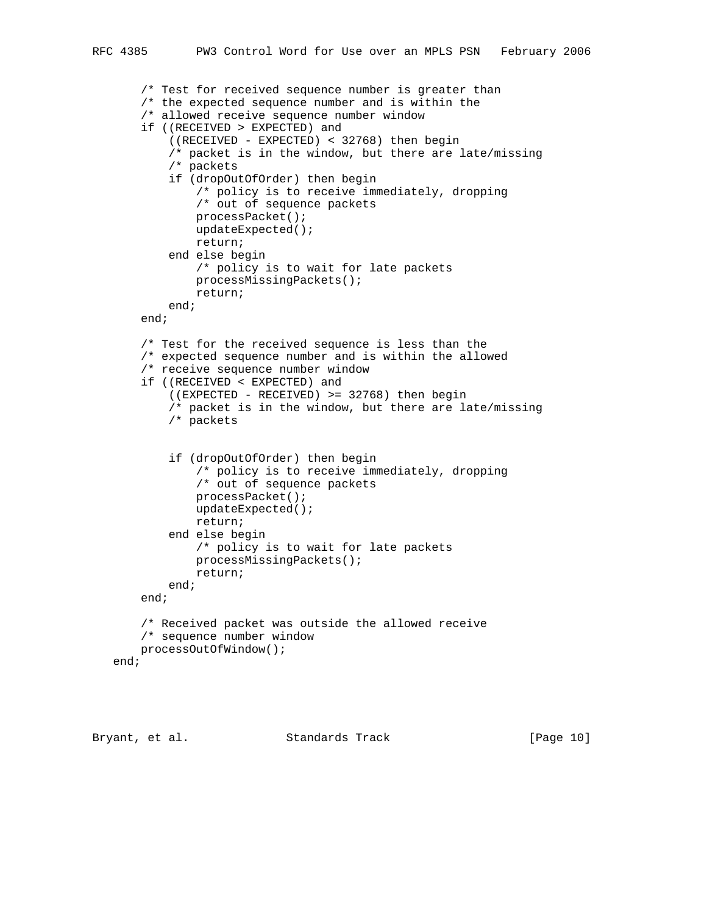```
 /* Test for received sequence number is greater than
     /* the expected sequence number and is within the
     /* allowed receive sequence number window
     if ((RECEIVED > EXPECTED) and
         ((RECEIVED - EXPECTED) < 32768) then begin
         /* packet is in the window, but there are late/missing
         /* packets
         if (dropOutOfOrder) then begin
             /* policy is to receive immediately, dropping
             /* out of sequence packets
             processPacket();
             updateExpected();
             return;
         end else begin
             /* policy is to wait for late packets
             processMissingPackets();
             return;
         end;
     end;
     /* Test for the received sequence is less than the
     /* expected sequence number and is within the allowed
     /* receive sequence number window
     if ((RECEIVED < EXPECTED) and
         ((EXPECTED - RECEIVED) >= 32768) then begin
         /* packet is in the window, but there are late/missing
         /* packets
         if (dropOutOfOrder) then begin
             /* policy is to receive immediately, dropping
             /* out of sequence packets
             processPacket();
             updateExpected();
             return;
         end else begin
             /* policy is to wait for late packets
             processMissingPackets();
             return;
         end;
     end;
     /* Received packet was outside the allowed receive
     /* sequence number window
    processOutOfWindow();
 end;
```
Bryant, et al. Standards Track [Page 10]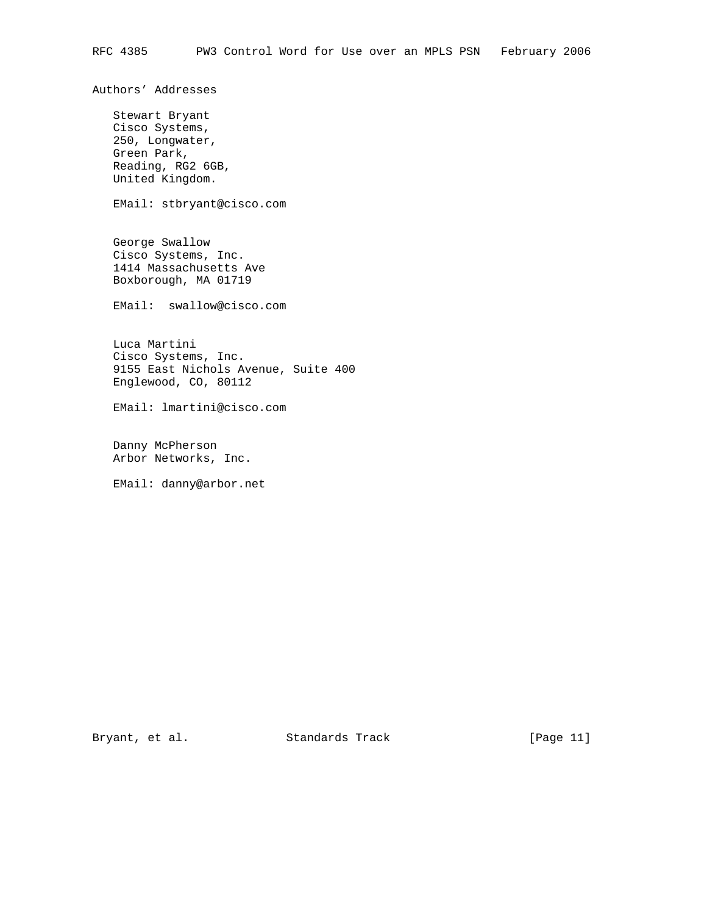Authors' Addresses

 Stewart Bryant Cisco Systems, 250, Longwater, Green Park, Reading, RG2 6GB, United Kingdom.

EMail: stbryant@cisco.com

 George Swallow Cisco Systems, Inc. 1414 Massachusetts Ave Boxborough, MA 01719

EMail: swallow@cisco.com

 Luca Martini Cisco Systems, Inc. 9155 East Nichols Avenue, Suite 400 Englewood, CO, 80112

EMail: lmartini@cisco.com

 Danny McPherson Arbor Networks, Inc.

EMail: danny@arbor.net

Bryant, et al. Standards Track [Page 11]